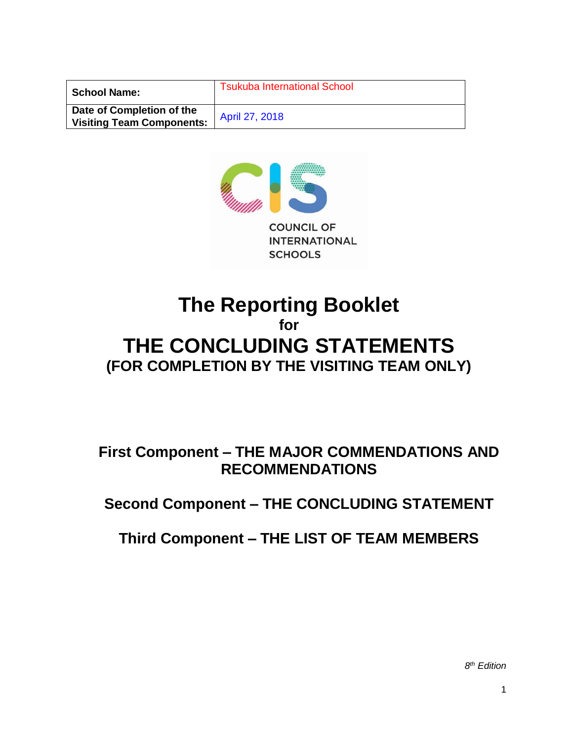| <b>School Name:</b>                                           | <b>Tsukuba International School</b> |
|---------------------------------------------------------------|-------------------------------------|
| Date of Completion of the<br><b>Visiting Team Components:</b> | April 27, 2018                      |



# **The Reporting Booklet for THE CONCLUDING STATEMENTS (FOR COMPLETION BY THE VISITING TEAM ONLY)**

**First Component – THE MAJOR COMMENDATIONS AND RECOMMENDATIONS**

**Second Component – THE CONCLUDING STATEMENT**

**Third Component – THE LIST OF TEAM MEMBERS**

*8 th Edition*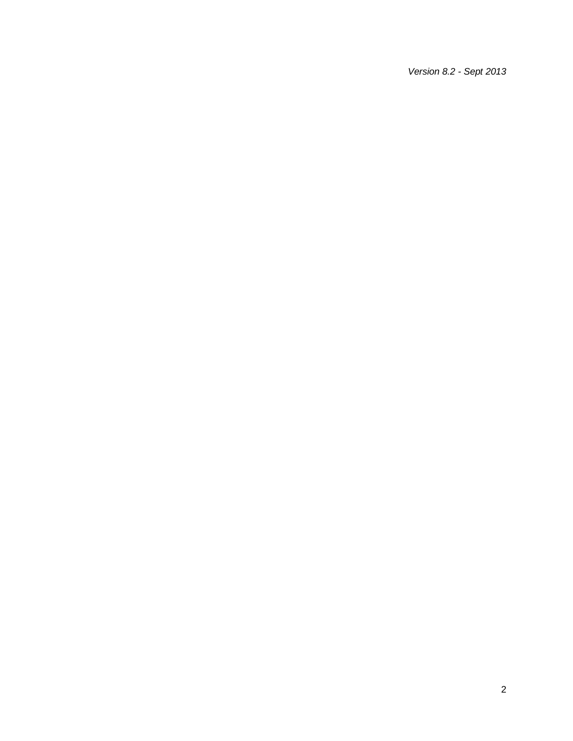*Version 8.2 - Sept 2013*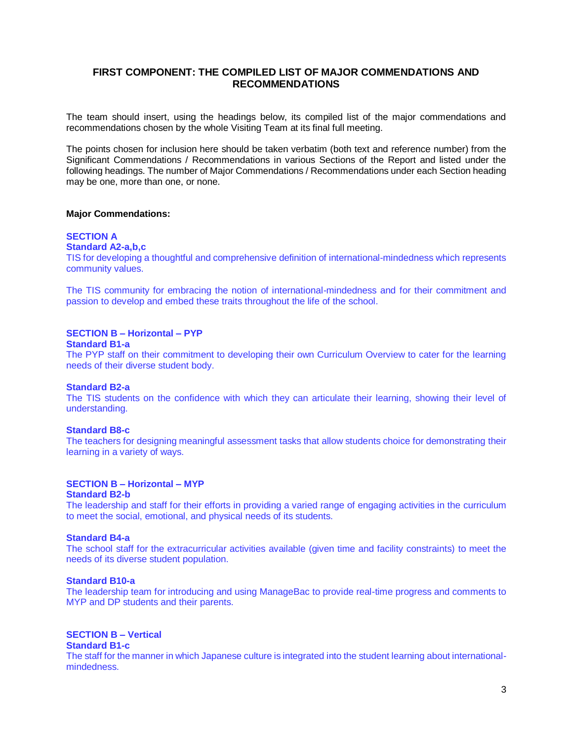# **FIRST COMPONENT: THE COMPILED LIST OF MAJOR COMMENDATIONS AND RECOMMENDATIONS**

The team should insert, using the headings below, its compiled list of the major commendations and recommendations chosen by the whole Visiting Team at its final full meeting.

The points chosen for inclusion here should be taken verbatim (both text and reference number) from the Significant Commendations / Recommendations in various Sections of the Report and listed under the following headings. The number of Major Commendations / Recommendations under each Section heading may be one, more than one, or none.

### **Major Commendations:**

# **SECTION A**

**Standard A2-a,b,c**

TIS for developing a thoughtful and comprehensive definition of international-mindedness which represents community values.

The TIS community for embracing the notion of international-mindedness and for their commitment and passion to develop and embed these traits throughout the life of the school.

# **SECTION B – Horizontal – PYP**

#### **Standard B1-a**

The PYP staff on their commitment to developing their own Curriculum Overview to cater for the learning needs of their diverse student body.

### **Standard B2-a**

The TIS students on the confidence with which they can articulate their learning, showing their level of understanding.

### **Standard B8-c**

The teachers for designing meaningful assessment tasks that allow students choice for demonstrating their learning in a variety of ways.

### **SECTION B – Horizontal – MYP**

### **Standard B2-b**

The leadership and staff for their efforts in providing a varied range of engaging activities in the curriculum to meet the social, emotional, and physical needs of its students.

### **Standard B4-a**

The school staff for the extracurricular activities available (given time and facility constraints) to meet the needs of its diverse student population.

# **Standard B10-a**

The leadership team for introducing and using ManageBac to provide real-time progress and comments to MYP and DP students and their parents.

# **SECTION B – Vertical**

# **Standard B1-c**

The staff for the manner in which Japanese culture is integrated into the student learning about internationalmindedness.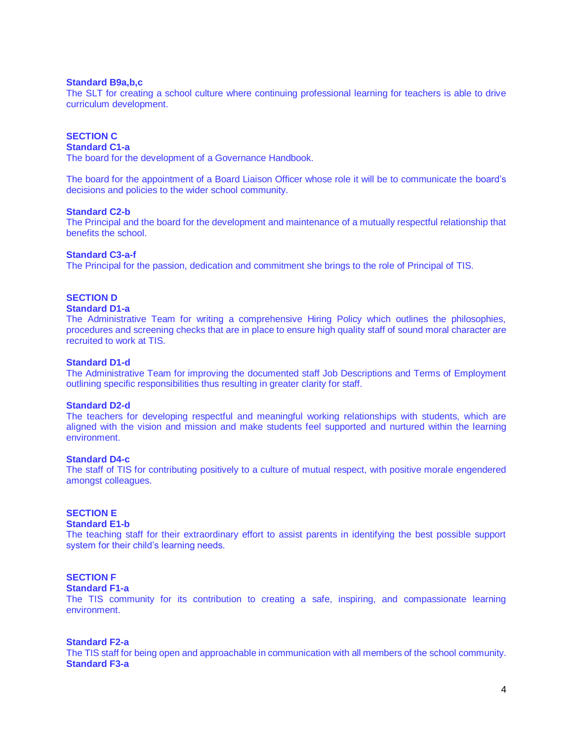### **Standard B9a,b,c**

The SLT for creating a school culture where continuing professional learning for teachers is able to drive curriculum development.

# **SECTION C**

# **Standard C1-a**

The board for the development of a Governance Handbook.

The board for the appointment of a Board Liaison Officer whose role it will be to communicate the board's decisions and policies to the wider school community.

### **Standard C2-b**

The Principal and the board for the development and maintenance of a mutually respectful relationship that benefits the school.

### **Standard C3-a-f**

The Principal for the passion, dedication and commitment she brings to the role of Principal of TIS.

# **SECTION D**

# **Standard D1-a**

The Administrative Team for writing a comprehensive Hiring Policy which outlines the philosophies, procedures and screening checks that are in place to ensure high quality staff of sound moral character are recruited to work at TIS.

### **Standard D1-d**

The Administrative Team for improving the documented staff Job Descriptions and Terms of Employment outlining specific responsibilities thus resulting in greater clarity for staff.

### **Standard D2-d**

The teachers for developing respectful and meaningful working relationships with students, which are aligned with the vision and mission and make students feel supported and nurtured within the learning environment.

### **Standard D4-c**

The staff of TIS for contributing positively to a culture of mutual respect, with positive morale engendered amongst colleagues.

# **SECTION E**

# **Standard E1-b**

The teaching staff for their extraordinary effort to assist parents in identifying the best possible support system for their child's learning needs.

# **SECTION F**

### **Standard F1-a**

The TIS community for its contribution to creating a safe, inspiring, and compassionate learning environment.

### **Standard F2-a**

The TIS staff for being open and approachable in communication with all members of the school community. **Standard F3-a**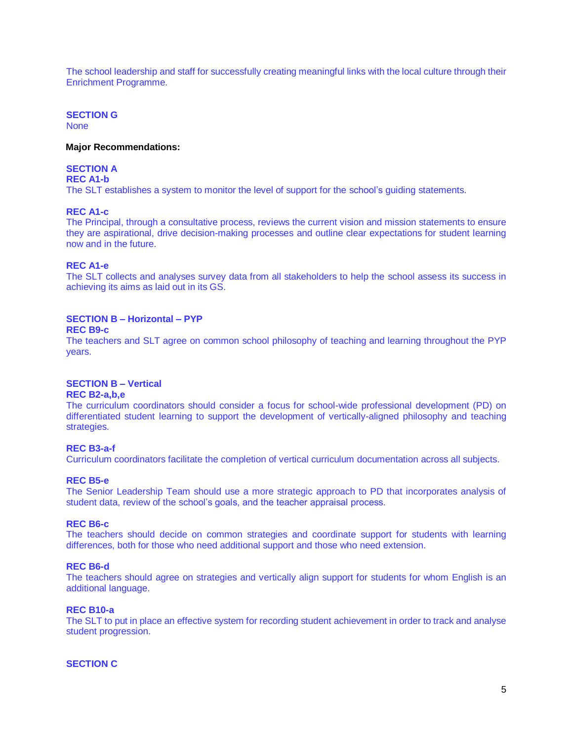The school leadership and staff for successfully creating meaningful links with the local culture through their Enrichment Programme.

# **SECTION G**

None

### **Major Recommendations:**

# **SECTION A**

**REC A1-b**

The SLT establishes a system to monitor the level of support for the school's guiding statements.

### **REC A1-c**

The Principal, through a consultative process, reviews the current vision and mission statements to ensure they are aspirational, drive decision-making processes and outline clear expectations for student learning now and in the future.

# **REC A1-e**

The SLT collects and analyses survey data from all stakeholders to help the school assess its success in achieving its aims as laid out in its GS.

# **SECTION B – Horizontal – PYP**

# **REC B9-c**

The teachers and SLT agree on common school philosophy of teaching and learning throughout the PYP years.

# **SECTION B – Vertical**

# **REC B2-a,b,e**

The curriculum coordinators should consider a focus for school-wide professional development (PD) on differentiated student learning to support the development of vertically-aligned philosophy and teaching strategies.

### **REC B3-a-f**

Curriculum coordinators facilitate the completion of vertical curriculum documentation across all subjects.

### **REC B5-e**

The Senior Leadership Team should use a more strategic approach to PD that incorporates analysis of student data, review of the school's goals, and the teacher appraisal process.

### **REC B6-c**

The teachers should decide on common strategies and coordinate support for students with learning differences, both for those who need additional support and those who need extension.

### **REC B6-d**

The teachers should agree on strategies and vertically align support for students for whom English is an additional language.

### **REC B10-a**

The SLT to put in place an effective system for recording student achievement in order to track and analyse student progression.

# **SECTION C**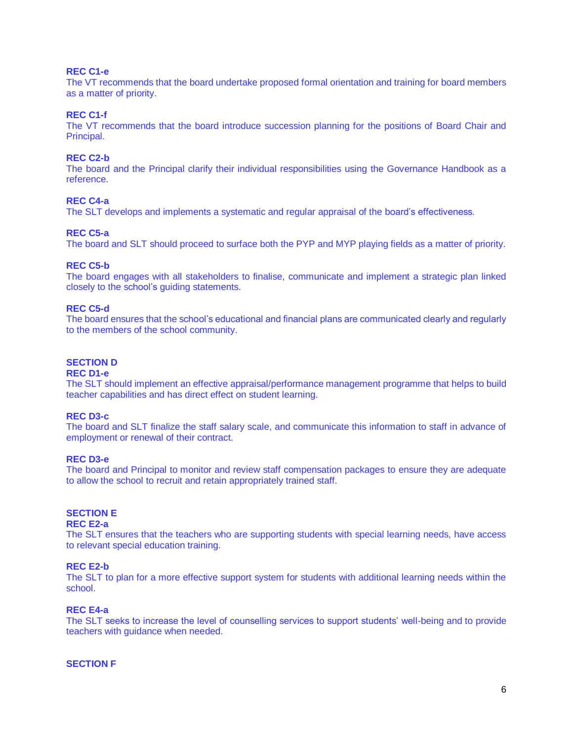### **REC C1-e**

The VT recommends that the board undertake proposed formal orientation and training for board members as a matter of priority.

# **REC C1-f**

The VT recommends that the board introduce succession planning for the positions of Board Chair and Principal.

### **REC C2-b**

The board and the Principal clarify their individual responsibilities using the Governance Handbook as a reference.

### **REC C4-a**

The SLT develops and implements a systematic and regular appraisal of the board's effectiveness.

### **REC C5-a**

The board and SLT should proceed to surface both the PYP and MYP playing fields as a matter of priority.

# **REC C5-b**

The board engages with all stakeholders to finalise, communicate and implement a strategic plan linked closely to the school's guiding statements.

### **REC C5-d**

The board ensures that the school's educational and financial plans are communicated clearly and regularly to the members of the school community.

# **SECTION D**

### **REC D1-e**

The SLT should implement an effective appraisal/performance management programme that helps to build teacher capabilities and has direct effect on student learning.

### **REC D3-c**

The board and SLT finalize the staff salary scale, and communicate this information to staff in advance of employment or renewal of their contract.

# **REC D3-e**

The board and Principal to monitor and review staff compensation packages to ensure they are adequate to allow the school to recruit and retain appropriately trained staff.

# **SECTION E**

### **REC E2-a**

The SLT ensures that the teachers who are supporting students with special learning needs, have access to relevant special education training.

### **REC E2-b**

The SLT to plan for a more effective support system for students with additional learning needs within the school.

### **REC E4-a**

The SLT seeks to increase the level of counselling services to support students' well-being and to provide teachers with guidance when needed.

### **SECTION F**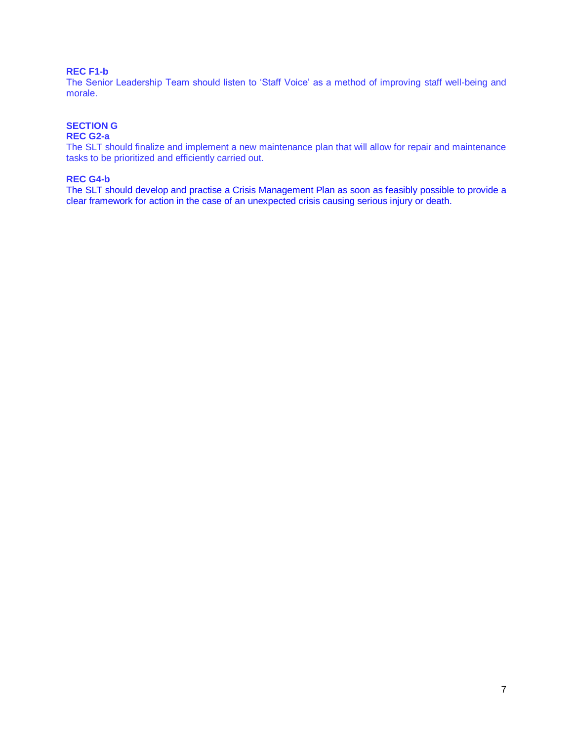# **REC F1-b**

The Senior Leadership Team should listen to 'Staff Voice' as a method of improving staff well-being and morale.

# **SECTION G**

### **REC G2-a**

The SLT should finalize and implement a new maintenance plan that will allow for repair and maintenance tasks to be prioritized and efficiently carried out.

# **REC G4-b**

The SLT should develop and practise a Crisis Management Plan as soon as feasibly possible to provide a clear framework for action in the case of an unexpected crisis causing serious injury or death.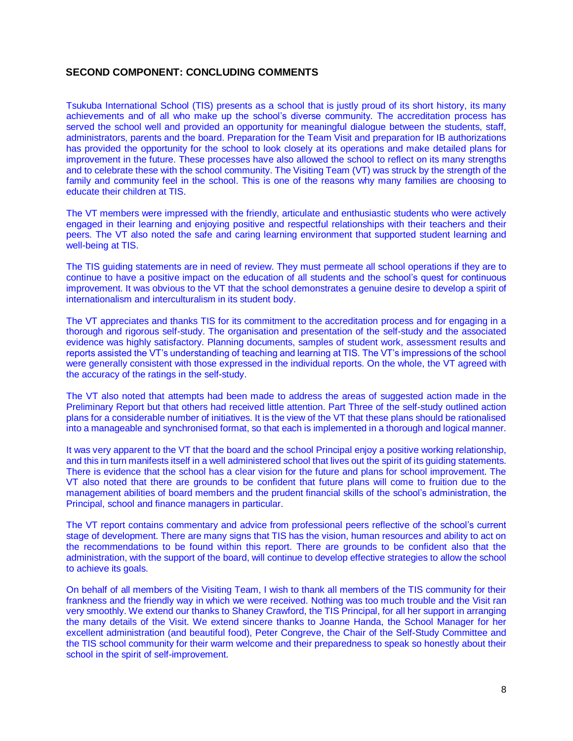# **SECOND COMPONENT: CONCLUDING COMMENTS**

Tsukuba International School (TIS) presents as a school that is justly proud of its short history, its many achievements and of all who make up the school's diverse community. The accreditation process has served the school well and provided an opportunity for meaningful dialogue between the students, staff, administrators, parents and the board. Preparation for the Team Visit and preparation for IB authorizations has provided the opportunity for the school to look closely at its operations and make detailed plans for improvement in the future. These processes have also allowed the school to reflect on its many strengths and to celebrate these with the school community. The Visiting Team (VT) was struck by the strength of the family and community feel in the school. This is one of the reasons why many families are choosing to educate their children at TIS.

The VT members were impressed with the friendly, articulate and enthusiastic students who were actively engaged in their learning and enjoying positive and respectful relationships with their teachers and their peers. The VT also noted the safe and caring learning environment that supported student learning and well-being at TIS.

The TIS guiding statements are in need of review. They must permeate all school operations if they are to continue to have a positive impact on the education of all students and the school's quest for continuous improvement. It was obvious to the VT that the school demonstrates a genuine desire to develop a spirit of internationalism and interculturalism in its student body.

The VT appreciates and thanks TIS for its commitment to the accreditation process and for engaging in a thorough and rigorous self-study. The organisation and presentation of the self-study and the associated evidence was highly satisfactory. Planning documents, samples of student work, assessment results and reports assisted the VT's understanding of teaching and learning at TIS. The VT's impressions of the school were generally consistent with those expressed in the individual reports. On the whole, the VT agreed with the accuracy of the ratings in the self-study.

The VT also noted that attempts had been made to address the areas of suggested action made in the Preliminary Report but that others had received little attention. Part Three of the self-study outlined action plans for a considerable number of initiatives. It is the view of the VT that these plans should be rationalised into a manageable and synchronised format, so that each is implemented in a thorough and logical manner.

It was very apparent to the VT that the board and the school Principal enjoy a positive working relationship, and this in turn manifests itself in a well administered school that lives out the spirit of its guiding statements. There is evidence that the school has a clear vision for the future and plans for school improvement. The VT also noted that there are grounds to be confident that future plans will come to fruition due to the management abilities of board members and the prudent financial skills of the school's administration, the Principal, school and finance managers in particular.

The VT report contains commentary and advice from professional peers reflective of the school's current stage of development. There are many signs that TIS has the vision, human resources and ability to act on the recommendations to be found within this report. There are grounds to be confident also that the administration, with the support of the board, will continue to develop effective strategies to allow the school to achieve its goals.

On behalf of all members of the Visiting Team, I wish to thank all members of the TIS community for their frankness and the friendly way in which we were received. Nothing was too much trouble and the Visit ran very smoothly. We extend our thanks to Shaney Crawford, the TIS Principal, for all her support in arranging the many details of the Visit. We extend sincere thanks to Joanne Handa, the School Manager for her excellent administration (and beautiful food), Peter Congreve, the Chair of the Self-Study Committee and the TIS school community for their warm welcome and their preparedness to speak so honestly about their school in the spirit of self-improvement.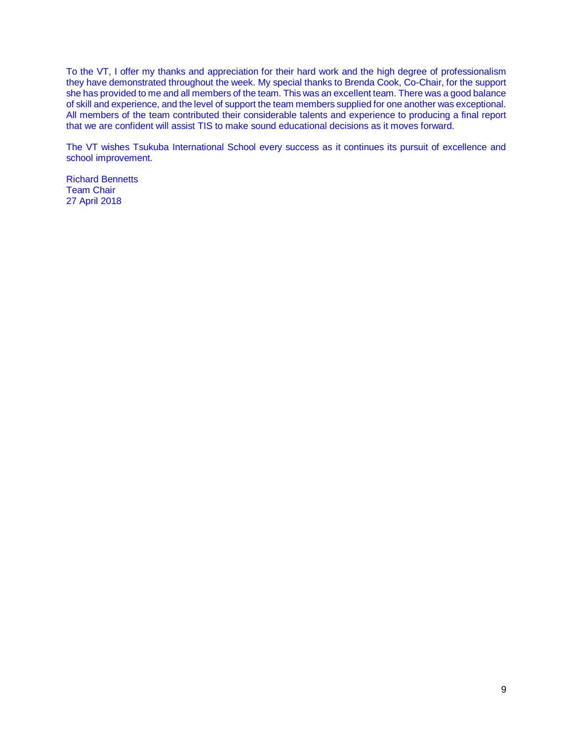To the VT, I offer my thanks and appreciation for their hard work and the high degree of professionalism they have demonstrated throughout the week. My special thanks to Brenda Cook, Co-Chair, for the support she has provided to me and all members of the team. This was an excellent team. There was a good balance of skill and experience, and the level of support the team members supplied for one another was exceptional. All members of the team contributed their considerable talents and experience to producing a final report that we are confident will assist TIS to make sound educational decisions as it moves forward.

The VT wishes Tsukuba International School every success as it continues its pursuit of excellence and school improvement.

Richard Bennetts Team Chair 27 April 2018